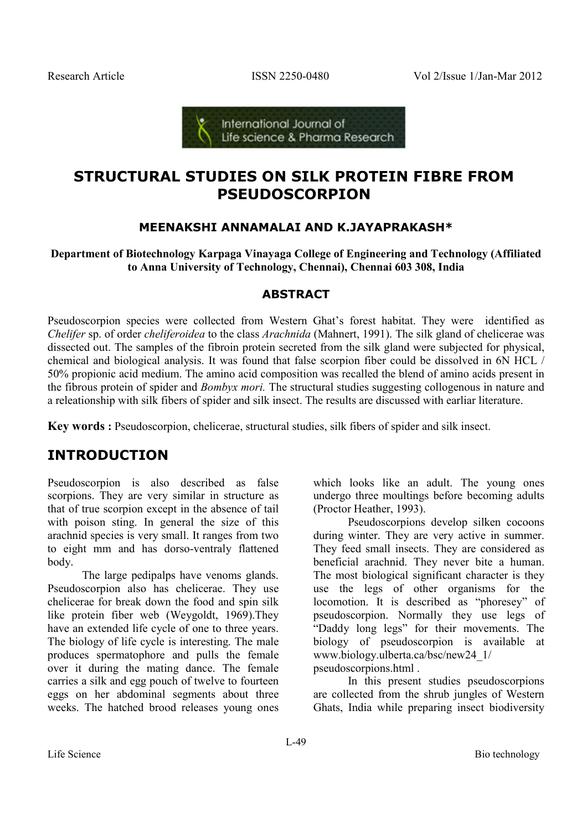

# **STRUCTURAL STUDIES ON SILK PROTEIN FIBRE FROM PSEUDOSCORPION**

### **MEENAKSHI ANNAMALAI AND K.JAYAPRAKASH\***

**Department of Biotechnology Karpaga Vinayaga College of Engineering and Technology (Affiliated to Anna University of Technology, Chennai), Chennai 603 308, India** 

### **ABSTRACT**

Pseudoscorpion species were collected from Western Ghat's forest habitat. They were identified as *Chelifer* sp. of order *cheliferoidea* to the class *Arachnida* (Mahnert, 1991). The silk gland of chelicerae was dissected out. The samples of the fibroin protein secreted from the silk gland were subjected for physical, chemical and biological analysis. It was found that false scorpion fiber could be dissolved in 6N HCL / 50% propionic acid medium. The amino acid composition was recalled the blend of amino acids present in the fibrous protein of spider and *Bombyx mori.* The structural studies suggesting collogenous in nature and a releationship with silk fibers of spider and silk insect. The results are discussed with earliar literature.

**Key words :** Pseudoscorpion, chelicerae, structural studies, silk fibers of spider and silk insect.

# **INTRODUCTION**

Pseudoscorpion is also described as false scorpions. They are very similar in structure as that of true scorpion except in the absence of tail with poison sting. In general the size of this arachnid species is very small. It ranges from two to eight mm and has dorso-ventraly flattened body.

The large pedipalps have venoms glands. Pseudoscorpion also has chelicerae. They use chelicerae for break down the food and spin silk like protein fiber web (Weygoldt, 1969).They have an extended life cycle of one to three years. The biology of life cycle is interesting. The male produces spermatophore and pulls the female over it during the mating dance. The female carries a silk and egg pouch of twelve to fourteen eggs on her abdominal segments about three weeks. The hatched brood releases young ones

which looks like an adult. The young ones undergo three moultings before becoming adults (Proctor Heather, 1993).

Pseudoscorpions develop silken cocoons during winter. They are very active in summer. They feed small insects. They are considered as beneficial arachnid. They never bite a human. The most biological significant character is they use the legs of other organisms for the locomotion. It is described as "phoresey" of pseudoscorpion. Normally they use legs of "Daddy long legs" for their movements. The biology of pseudoscorpion is available at www.biology.ulberta.ca/bsc/new24\_1/ pseudoscorpions.html .

In this present studies pseudoscorpions are collected from the shrub jungles of Western Ghats, India while preparing insect biodiversity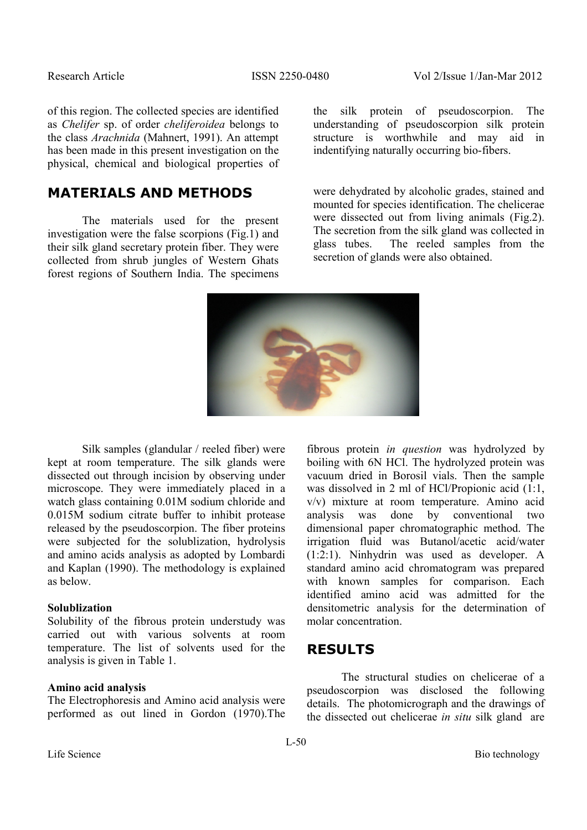of this region. The collected species are identified as *Chelifer* sp. of order *cheliferoidea* belongs to the class *Arachnida* (Mahnert, 1991). An attempt has been made in this present investigation on the physical, chemical and biological properties of

## **MATERIALS AND METHODS**

The materials used for the present investigation were the false scorpions (Fig.1) and their silk gland secretary protein fiber. They were collected from shrub jungles of Western Ghats forest regions of Southern India. The specimens the silk protein of pseudoscorpion. The understanding of pseudoscorpion silk protein structure is worthwhile and may aid in indentifying naturally occurring bio-fibers.

were dehydrated by alcoholic grades, stained and mounted for species identification. The chelicerae were dissected out from living animals (Fig.2). The secretion from the silk gland was collected in glass tubes. The reeled samples from the The reeled samples from the secretion of glands were also obtained.



Silk samples (glandular / reeled fiber) were kept at room temperature. The silk glands were dissected out through incision by observing under microscope. They were immediately placed in a watch glass containing 0.01M sodium chloride and 0.015M sodium citrate buffer to inhibit protease released by the pseudoscorpion. The fiber proteins were subjected for the solublization, hydrolysis and amino acids analysis as adopted by Lombardi and Kaplan (1990). The methodology is explained as below.

#### **Solublization**

Solubility of the fibrous protein understudy was carried out with various solvents at room temperature. The list of solvents used for the analysis is given in Table 1.

#### **Amino acid analysis**

The Electrophoresis and Amino acid analysis were performed as out lined in Gordon (1970).The fibrous protein *in question* was hydrolyzed by boiling with 6N HCl. The hydrolyzed protein was vacuum dried in Borosil vials. Then the sample was dissolved in 2 ml of HCl/Propionic acid (1:1, v/v) mixture at room temperature. Amino acid was done by conventional two dimensional paper chromatographic method. The irrigation fluid was Butanol/acetic acid/water (1:2:1). Ninhydrin was used as developer. A standard amino acid chromatogram was prepared with known samples for comparison. Each identified amino acid was admitted for the densitometric analysis for the determination of molar concentration.

### **RESULTS**

The structural studies on chelicerae of a pseudoscorpion was disclosed the following details. The photomicrograph and the drawings of the dissected out chelicerae *in situ* silk gland are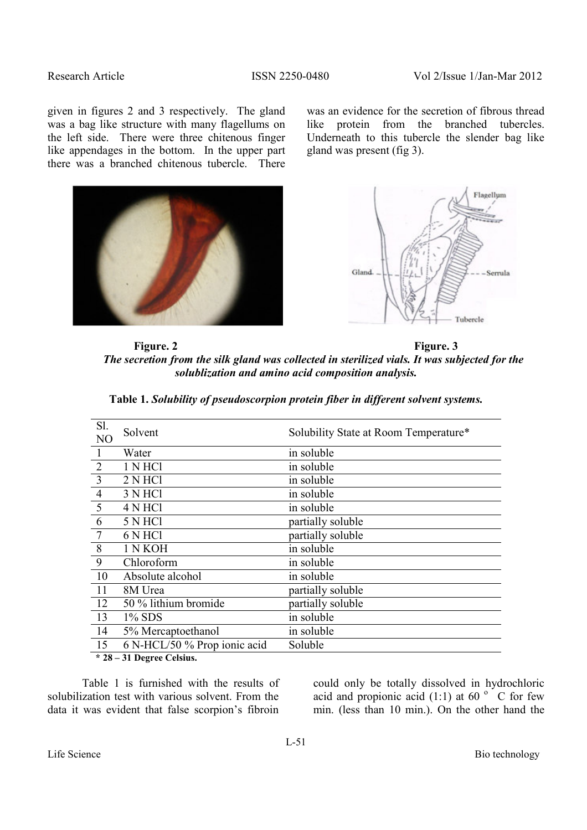Research Article ISSN 2250-0480 Vol 2/Issue 1/Jan-Mar 2012

given in figures 2 and 3 respectively. The gland was a bag like structure with many flagellums on the left side. There were three chitenous finger like appendages in the bottom. In the upper part there was a branched chitenous tubercle.There

was an evidence for the secretion of fibrous thread like protein from the branched tubercles. Underneath to this tubercle the slender bag like gland was present (fig 3).





Figure. 2 Figure. 3 *The secretion from the silk gland was collected in sterilized vials. It was subjected for the solublization and amino acid composition analysis.* 

| Sl.<br>N <sub>O</sub> | Solvent                      | Solubility State at Room Temperature* |
|-----------------------|------------------------------|---------------------------------------|
|                       | Water                        | in soluble                            |
| $\overline{2}$        | 1 N HCl                      | in soluble                            |
| $\overline{3}$        | 2 N HCl                      | in soluble                            |
| $\overline{4}$        | 3 N HCl                      | in soluble                            |
| 5                     | 4 N HCl                      | in soluble                            |
| 6                     | 5 N HCl                      | partially soluble                     |
| 7                     | 6 N HCl                      | partially soluble                     |
| 8                     | 1 N KOH                      | in soluble                            |
| 9                     | Chloroform                   | in soluble                            |
| 10                    | Absolute alcohol             | in soluble                            |
| 11                    | 8M Urea                      | partially soluble                     |
| 12                    | 50 % lithium bromide         | partially soluble                     |
| 13                    | $1\%$ SDS                    | in soluble                            |
| 14                    | 5% Mercaptoethanol           | in soluble                            |
| 15                    | 6 N-HCL/50 % Prop ionic acid | Soluble                               |

**Table 1.** *Solubility of pseudoscorpion protein fiber in different solvent systems.*

 **\* 28 – 31 Degree Celsius.** 

Table 1 is furnished with the results of solubilization test with various solvent. From the data it was evident that false scorpion's fibroin

could only be totally dissolved in hydrochloric acid and propionic acid  $(1:1)$  at 60  $\degree$  C for few min. (less than 10 min.). On the other hand the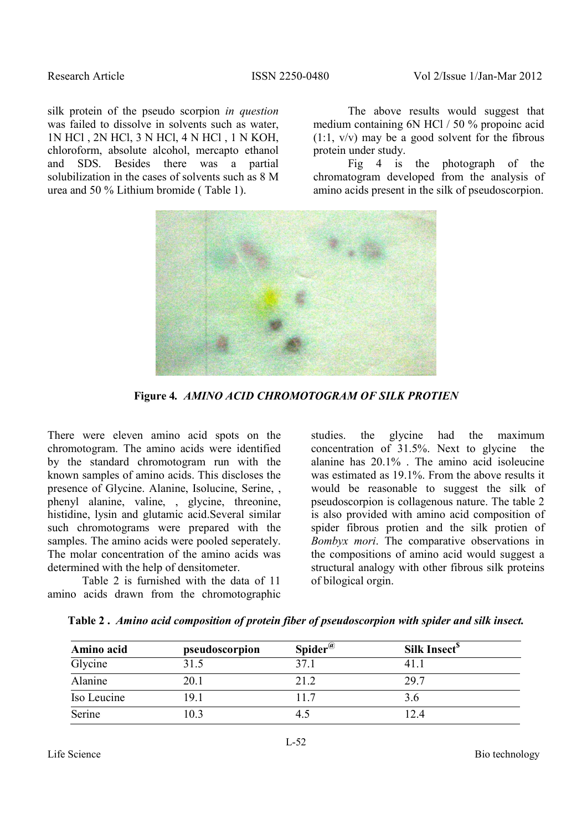silk protein of the pseudo scorpion *in question* was failed to dissolve in solvents such as water, 1N HCl , 2N HCl, 3 N HCl, 4 N HCl , 1 N KOH, chloroform, absolute alcohol, mercapto ethanol and SDS. Besides there was a partial solubilization in the cases of solvents such as 8 M urea and 50 % Lithium bromide ( Table 1).

The above results would suggest that medium containing 6N HCl / 50 % propoinc acid  $(1:1, v/v)$  may be a good solvent for the fibrous protein under study.

 Fig 4 is the photograph of the chromatogram developed from the analysis of amino acids present in the silk of pseudoscorpion.



**Figure 4***. AMINO ACID CHROMOTOGRAM OF SILK PROTIEN* 

There were eleven amino acid spots on the chromotogram. The amino acids were identified by the standard chromotogram run with the known samples of amino acids. This discloses the presence of Glycine. Alanine, Isolucine, Serine, , phenyl alanine, valine, , glycine, threonine, histidine, lysin and glutamic acid.Several similar such chromotograms were prepared with the samples. The amino acids were pooled seperately. The molar concentration of the amino acids was determined with the help of densitometer.

 Table 2 is furnished with the data of 11 amino acids drawn from the chromotographic studies. the glycine had the maximum concentration of 31.5%. Next to glycine the alanine has 20.1% . The amino acid isoleucine was estimated as 19.1%. From the above results it would be reasonable to suggest the silk of pseudoscorpion is collagenous nature. The table 2 is also provided with amino acid composition of spider fibrous protien and the silk protien of *Bombyx mori*. The comparative observations in the compositions of amino acid would suggest a structural analogy with other fibrous silk proteins of bilogical orgin.

| Amino acid  | pseudoscorpion | Spider <sup><math>@</math></sup> | Silk Insect <sup>5</sup> |
|-------------|----------------|----------------------------------|--------------------------|
| Glycine     | 31.5           | 37.1                             | 41.                      |
| Alanine     | 20.1           | 21.2                             | 29.7                     |
| Iso Leucine | 19.1           | 117                              | 3.6                      |
| Serine      | 10.3           |                                  | 1 7 4                    |

|  |  |  |  | Table 2. Amino acid composition of protein fiber of pseudoscorpion with spider and silk insect. |  |  |  |
|--|--|--|--|-------------------------------------------------------------------------------------------------|--|--|--|
|  |  |  |  |                                                                                                 |  |  |  |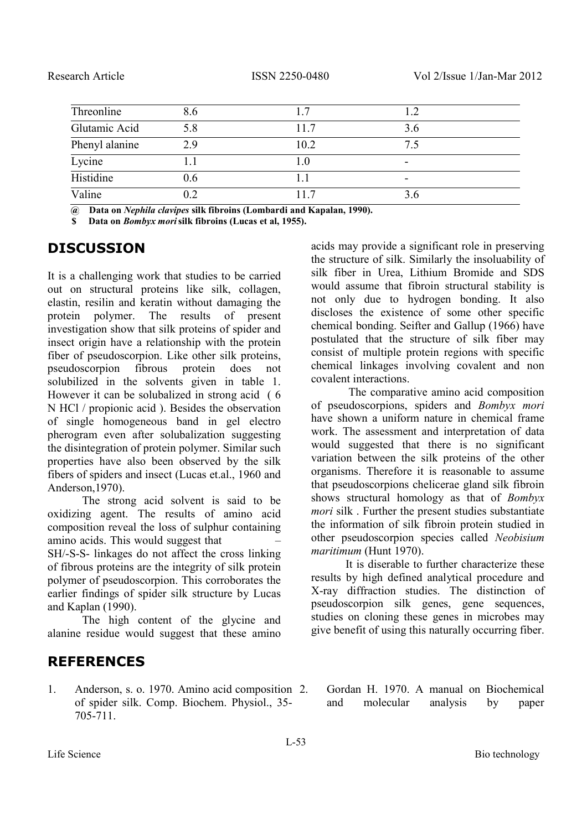| Threonline     | 8.6       |      |     |  |
|----------------|-----------|------|-----|--|
| Glutamic Acid  | 5.8       | 11.7 | 3.6 |  |
| Phenyl alanine | 2.9       | 10.2 | 7.5 |  |
| Lycine         |           | 1.0  |     |  |
| Histidine      | 0.6       |      |     |  |
| Valine         | $\rm 0.2$ |      | 3.6 |  |

 **@ Data on** *Nephila clavipes* **silk fibroins (Lombardi and Kapalan, 1990).** 

 **\$ Data on** *Bombyx mori***silk fibroins (Lucas et al, 1955).** 

# **DISCUSSION**

It is a challenging work that studies to be carried out on structural proteins like silk, collagen, elastin, resilin and keratin without damaging the protein polymer. The results of present investigation show that silk proteins of spider and insect origin have a relationship with the protein fiber of pseudoscorpion. Like other silk proteins, pseudoscorpion fibrous protein does not solubilized in the solvents given in table 1. However it can be solubalized in strong acid ( 6 N HCl / propionic acid ). Besides the observation of single homogeneous band in gel electro pherogram even after solubalization suggesting the disintegration of protein polymer. Similar such properties have also been observed by the silk fibers of spiders and insect (Lucas et.al., 1960 and Anderson,1970).

 The strong acid solvent is said to be oxidizing agent. The results of amino acid composition reveal the loss of sulphur containing amino acids. This would suggest that – SH/-S-S- linkages do not affect the cross linking of fibrous proteins are the integrity of silk protein polymer of pseudoscorpion. This corroborates the earlier findings of spider silk structure by Lucas and Kaplan (1990).

 The high content of the glycine and alanine residue would suggest that these amino

# **REFERENCES**

1. Anderson, s. o. 1970. Amino acid composition of spider silk. Comp. Biochem. Physiol., 35- 705-711.

acids may provide a significant role in preserving the structure of silk. Similarly the insoluability of silk fiber in Urea, Lithium Bromide and SDS would assume that fibroin structural stability is not only due to hydrogen bonding. It also discloses the existence of some other specific chemical bonding. Seifter and Gallup (1966) have postulated that the structure of silk fiber may consist of multiple protein regions with specific chemical linkages involving covalent and non covalent interactions.

 The comparative amino acid composition of pseudoscorpions, spiders and *Bombyx mori* have shown a uniform nature in chemical frame work. The assessment and interpretation of data would suggested that there is no significant variation between the silk proteins of the other organisms. Therefore it is reasonable to assume that pseudoscorpions chelicerae gland silk fibroin shows structural homology as that of *Bombyx mori* silk . Further the present studies substantiate the information of silk fibroin protein studied in other pseudoscorpion species called *Neobisium maritimum* (Hunt 1970).

 It is diserable to further characterize these results by high defined analytical procedure and X-ray diffraction studies. The distinction of pseudoscorpion silk genes, gene sequences, studies on cloning these genes in microbes may give benefit of using this naturally occurring fiber.

2. Gordan H. 1970. A manual on Biochemical and molecular analysis by paper